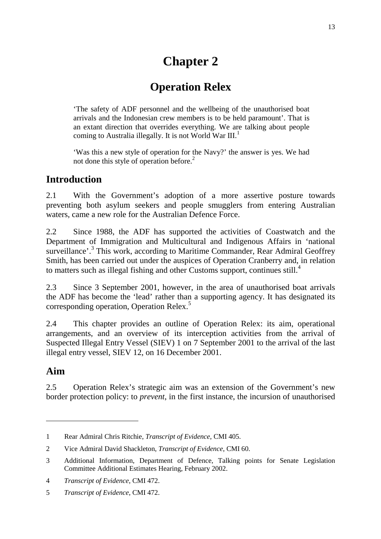# **Chapter 2**

# **Operation Relex**

'The safety of ADF personnel and the wellbeing of the unauthorised boat arrivals and the Indonesian crew members is to be held paramount'. That is an extant direction that overrides everything. We are talking about people coming to Australia illegally. It is not World War  $III$ <sup>1</sup>

'Was this a new style of operation for the Navy?' the answer is yes. We had not done this style of operation before.<sup>2</sup>

#### **Introduction**

2.1 With the Government's adoption of a more assertive posture towards preventing both asylum seekers and people smugglers from entering Australian waters, came a new role for the Australian Defence Force.

2.2 Since 1988, the ADF has supported the activities of Coastwatch and the Department of Immigration and Multicultural and Indigenous Affairs in 'national surveillance'.<sup>3</sup> This work, according to Maritime Commander, Rear Admiral Geoffrey Smith, has been carried out under the auspices of Operation Cranberry and, in relation to matters such as illegal fishing and other Customs support, continues still.<sup>4</sup>

2.3 Since 3 September 2001, however, in the area of unauthorised boat arrivals the ADF has become the 'lead' rather than a supporting agency. It has designated its corresponding operation, Operation Relex.<sup>5</sup>

2.4 This chapter provides an outline of Operation Relex: its aim, operational arrangements, and an overview of its interception activities from the arrival of Suspected Illegal Entry Vessel (SIEV) 1 on 7 September 2001 to the arrival of the last illegal entry vessel, SIEV 12, on 16 December 2001.

## **Aim**

2.5 Operation Relex's strategic aim was an extension of the Government's new border protection policy: to *prevent*, in the first instance, the incursion of unauthorised

<sup>1</sup> Rear Admiral Chris Ritchie, *Transcript of Evidence*, CMI 405.

<sup>2</sup> Vice Admiral David Shackleton, *Transcript of Evidence*, CMI 60.

<sup>3</sup> Additional Information, Department of Defence, Talking points for Senate Legislation Committee Additional Estimates Hearing, February 2002.

<sup>4</sup> *Transcript of Evidence*, CMI 472.

<sup>5</sup> *Transcript of Evidence*, CMI 472.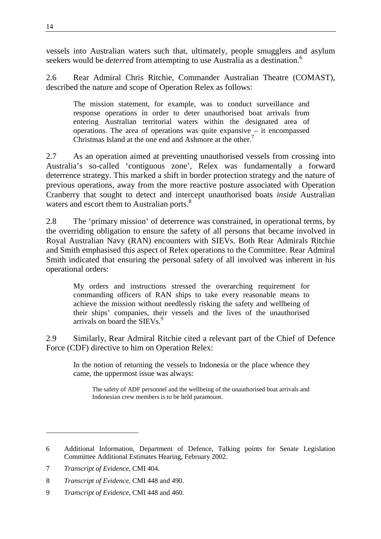vessels into Australian waters such that, ultimately, people smugglers and asylum seekers would be *deterred* from attempting to use Australia as a destination.<sup>6</sup>

2.6 Rear Admiral Chris Ritchie, Commander Australian Theatre (COMAST), described the nature and scope of Operation Relex as follows:

The mission statement, for example, was to conduct surveillance and response operations in order to deter unauthorised boat arrivals from entering Australian territorial waters within the designated area of operations. The area of operations was quite expansive – it encompassed Christmas Island at the one end and Ashmore at the other.<sup>7</sup>

2.7 As an operation aimed at preventing unauthorised vessels from crossing into Australia's so-called 'contiguous zone', Relex was fundamentally a forward deterrence strategy. This marked a shift in border protection strategy and the nature of previous operations, away from the more reactive posture associated with Operation Cranberry that sought to detect and intercept unauthorised boats *inside* Australian waters and escort them to Australian ports.<sup>8</sup>

2.8 The 'primary mission' of deterrence was constrained, in operational terms, by the overriding obligation to ensure the safety of all persons that became involved in Royal Australian Navy (RAN) encounters with SIEVs. Both Rear Admirals Ritchie and Smith emphasised this aspect of Relex operations to the Committee. Rear Admiral Smith indicated that ensuring the personal safety of all involved was inherent in his operational orders:

My orders and instructions stressed the overarching requirement for commanding officers of RAN ships to take every reasonable means to achieve the mission without needlessly risking the safety and wellbeing of their ships' companies, their vessels and the lives of the unauthorised arrivals on board the SIEVs.<sup>9</sup>

2.9 Similarly, Rear Admiral Ritchie cited a relevant part of the Chief of Defence Force (CDF) directive to him on Operation Relex:

In the notion of returning the vessels to Indonesia or the place whence they came, the uppermost issue was always:

The safety of ADF personnel and the wellbeing of the unauthorised boat arrivals and Indonesian crew members is to be held paramount.

<sup>6</sup> Additional Information, Department of Defence, Talking points for Senate Legislation Committee Additional Estimates Hearing, February 2002.

<sup>7</sup> *Transcript of Evidence*, CMI 404.

<sup>8</sup> *Transcript of Evidence*, CMI 448 and 490.

<sup>9</sup> *Transcript of Evidence*, CMI 448 and 460.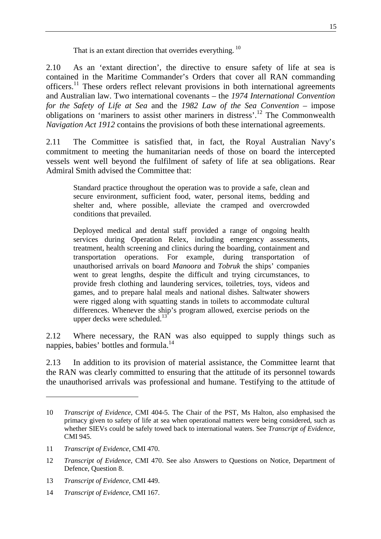That is an extant direction that overrides everything.<sup>10</sup>

2.10 As an 'extant direction', the directive to ensure safety of life at sea is contained in the Maritime Commander's Orders that cover all RAN commanding officers.<sup>11</sup> These orders reflect relevant provisions in both international agreements and Australian law. Two international covenants – the *1974 International Convention for the Safety of Life at Sea* and the *1982 Law of the Sea Convention* – impose obligations on 'mariners to assist other mariners in distress'.<sup>12</sup> The Commonwealth *Navigation Act 1912* contains the provisions of both these international agreements.

2.11 The Committee is satisfied that, in fact, the Royal Australian Navy's commitment to meeting the humanitarian needs of those on board the intercepted vessels went well beyond the fulfilment of safety of life at sea obligations. Rear Admiral Smith advised the Committee that:

Standard practice throughout the operation was to provide a safe, clean and secure environment, sufficient food, water, personal items, bedding and shelter and, where possible, alleviate the cramped and overcrowded conditions that prevailed.

Deployed medical and dental staff provided a range of ongoing health services during Operation Relex, including emergency assessments, treatment, health screening and clinics during the boarding, containment and transportation operations. For example, during transportation of unauthorised arrivals on board *Manoora* and *Tobruk* the ships' companies went to great lengths, despite the difficult and trying circumstances, to provide fresh clothing and laundering services, toiletries, toys, videos and games, and to prepare halal meals and national dishes. Saltwater showers were rigged along with squatting stands in toilets to accommodate cultural differences. Whenever the ship's program allowed, exercise periods on the upper decks were scheduled. $13$ 

2.12 Where necessary, the RAN was also equipped to supply things such as nappies, babies' bottles and formula.<sup>14</sup>

2.13 In addition to its provision of material assistance, the Committee learnt that the RAN was clearly committed to ensuring that the attitude of its personnel towards the unauthorised arrivals was professional and humane. Testifying to the attitude of

<sup>10</sup> *Transcript of Evidence*, CMI 404-5. The Chair of the PST, Ms Halton, also emphasised the primacy given to safety of life at sea when operational matters were being considered, such as whether SIEVs could be safely towed back to international waters. See *Transcript of Evidence*, CMI 945.

<sup>11</sup> *Transcript of Evidence*, CMI 470.

<sup>12</sup> *Transcript of Evidence*, CMI 470. See also Answers to Questions on Notice, Department of Defence, Question 8.

<sup>13</sup> *Transcript of Evidence*, CMI 449.

<sup>14</sup> *Transcript of Evidence*, CMI 167.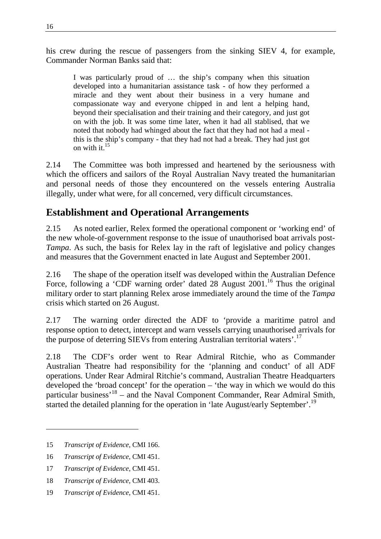his crew during the rescue of passengers from the sinking SIEV 4, for example, Commander Norman Banks said that:

I was particularly proud of … the ship's company when this situation developed into a humanitarian assistance task - of how they performed a miracle and they went about their business in a very humane and compassionate way and everyone chipped in and lent a helping hand, beyond their specialisation and their training and their category, and just got on with the job. It was some time later, when it had all stablised, that we noted that nobody had whinged about the fact that they had not had a meal this is the ship's company - that they had not had a break. They had just got on with it.<sup>15</sup>

2.14 The Committee was both impressed and heartened by the seriousness with which the officers and sailors of the Royal Australian Navy treated the humanitarian and personal needs of those they encountered on the vessels entering Australia illegally, under what were, for all concerned, very difficult circumstances.

## **Establishment and Operational Arrangements**

2.15 As noted earlier, Relex formed the operational component or 'working end' of the new whole-of-government response to the issue of unauthorised boat arrivals post-*Tampa*. As such, the basis for Relex lay in the raft of legislative and policy changes and measures that the Government enacted in late August and September 2001.

2.16 The shape of the operation itself was developed within the Australian Defence Force, following a 'CDF warning order' dated  $28$  August  $2001$ .<sup>16</sup> Thus the original military order to start planning Relex arose immediately around the time of the *Tampa* crisis which started on 26 August.

2.17 The warning order directed the ADF to 'provide a maritime patrol and response option to detect, intercept and warn vessels carrying unauthorised arrivals for the purpose of deterring SIEVs from entering Australian territorial waters'.<sup>17</sup>

2.18 The CDF's order went to Rear Admiral Ritchie, who as Commander Australian Theatre had responsibility for the 'planning and conduct' of all ADF operations. Under Rear Admiral Ritchie's command, Australian Theatre Headquarters developed the 'broad concept' for the operation – 'the way in which we would do this particular business<sup>, 18</sup> – and the Naval Component Commander, Rear Admiral Smith, started the detailed planning for the operation in 'late August/early September'.<sup>19</sup>

<sup>15</sup> *Transcript of Evidence*, CMI 166.

<sup>16</sup> *Transcript of Evidence*, CMI 451.

<sup>17</sup> *Transcript of Evidence*, CMI 451.

<sup>18</sup> *Transcript of Evidence*, CMI 403.

<sup>19</sup> *Transcript of Evidence*, CMI 451.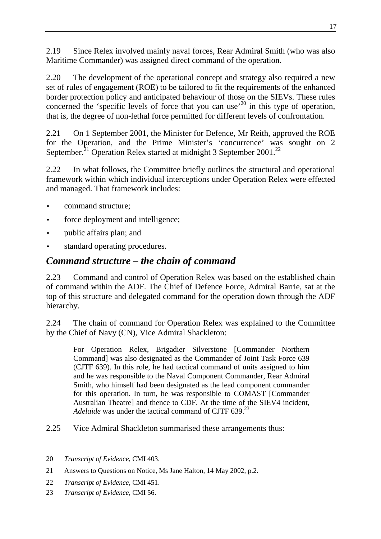2.19 Since Relex involved mainly naval forces, Rear Admiral Smith (who was also Maritime Commander) was assigned direct command of the operation.

2.20 The development of the operational concept and strategy also required a new set of rules of engagement (ROE) to be tailored to fit the requirements of the enhanced border protection policy and anticipated behaviour of those on the SIEVs. These rules concerned the 'specific levels of force that you can use<sup> $20$ </sup> in this type of operation, that is, the degree of non-lethal force permitted for different levels of confrontation.

2.21 On 1 September 2001, the Minister for Defence, Mr Reith, approved the ROE for the Operation, and the Prime Minister's 'concurrence' was sought on 2 September.<sup>21</sup> Operation Relex started at midnight 3 September 2001.<sup>22</sup>

2.22 In what follows, the Committee briefly outlines the structural and operational framework within which individual interceptions under Operation Relex were effected and managed. That framework includes:

- command structure;
- force deployment and intelligence;
- public affairs plan; and
- standard operating procedures.

#### *Command structure – the chain of command*

2.23 Command and control of Operation Relex was based on the established chain of command within the ADF. The Chief of Defence Force, Admiral Barrie, sat at the top of this structure and delegated command for the operation down through the ADF hierarchy.

2.24 The chain of command for Operation Relex was explained to the Committee by the Chief of Navy (CN), Vice Admiral Shackleton:

For Operation Relex, Brigadier Silverstone [Commander Northern Command] was also designated as the Commander of Joint Task Force 639 (CJTF 639). In this role, he had tactical command of units assigned to him and he was responsible to the Naval Component Commander, Rear Admiral Smith, who himself had been designated as the lead component commander for this operation. In turn, he was responsible to COMAST [Commander Australian Theatre] and thence to CDF. At the time of the SIEV4 incident, *Adelaide* was under the tactical command of CJTF 639.<sup>23</sup>

2.25 Vice Admiral Shackleton summarised these arrangements thus:

<sup>20</sup> *Transcript of Evidence*, CMI 403.

<sup>21</sup> Answers to Questions on Notice, Ms Jane Halton, 14 May 2002, p.2.

<sup>22</sup> *Transcript of Evidence*, CMI 451.

<sup>23</sup> *Transcript of Evidence*, CMI 56.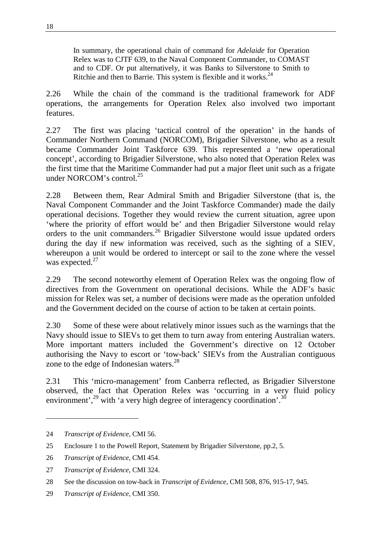In summary, the operational chain of command for *Adelaide* for Operation Relex was to CJTF 639, to the Naval Component Commander, to COMAST and to CDF. Or put alternatively, it was Banks to Silverstone to Smith to Ritchie and then to Barrie. This system is flexible and it works.<sup>24</sup>

2.26 While the chain of the command is the traditional framework for ADF operations, the arrangements for Operation Relex also involved two important features.

2.27 The first was placing 'tactical control of the operation' in the hands of Commander Northern Command (NORCOM), Brigadier Silverstone, who as a result became Commander Joint Taskforce 639. This represented a 'new operational concept', according to Brigadier Silverstone, who also noted that Operation Relex was the first time that the Maritime Commander had put a major fleet unit such as a frigate under NORCOM's control. $^{25}$ 

2.28 Between them, Rear Admiral Smith and Brigadier Silverstone (that is, the Naval Component Commander and the Joint Taskforce Commander) made the daily operational decisions. Together they would review the current situation, agree upon 'where the priority of effort would be' and then Brigadier Silverstone would relay orders to the unit commanders.26 Brigadier Silverstone would issue updated orders during the day if new information was received, such as the sighting of a SIEV, whereupon a unit would be ordered to intercept or sail to the zone where the vessel was expected.<sup>27</sup>

2.29 The second noteworthy element of Operation Relex was the ongoing flow of directives from the Government on operational decisions. While the ADF's basic mission for Relex was set, a number of decisions were made as the operation unfolded and the Government decided on the course of action to be taken at certain points.

2.30 Some of these were about relatively minor issues such as the warnings that the Navy should issue to SIEVs to get them to turn away from entering Australian waters. More important matters included the Government's directive on 12 October authorising the Navy to escort or 'tow-back' SIEVs from the Australian contiguous zone to the edge of Indonesian waters.<sup>28</sup>

2.31 This 'micro-management' from Canberra reflected, as Brigadier Silverstone observed, the fact that Operation Relex was 'occurring in a very fluid policy environment',<sup>29</sup> with 'a very high degree of interagency coordination'.<sup>30</sup>

<sup>24</sup> *Transcript of Evidence*, CMI 56.

<sup>25</sup> Enclosure 1 to the Powell Report, Statement by Brigadier Silverstone, pp.2, 5.

<sup>26</sup> *Transcript of Evidence*, CMI 454.

<sup>27</sup> *Transcript of Evidence*, CMI 324.

<sup>28</sup> See the discussion on tow-back in *Transcript of Evidence*, CMI 508, 876, 915-17, 945.

<sup>29</sup> *Transcript of Evidence*, CMI 350.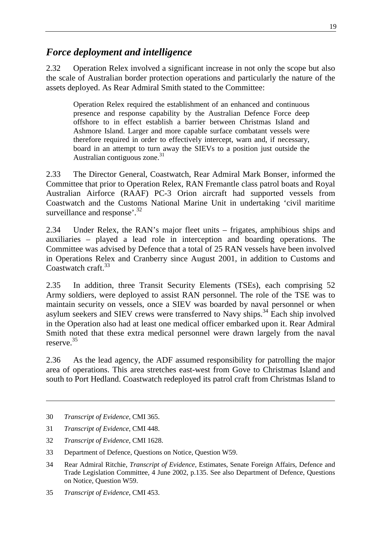#### *Force deployment and intelligence*

2.32 Operation Relex involved a significant increase in not only the scope but also the scale of Australian border protection operations and particularly the nature of the assets deployed. As Rear Admiral Smith stated to the Committee:

Operation Relex required the establishment of an enhanced and continuous presence and response capability by the Australian Defence Force deep offshore to in effect establish a barrier between Christmas Island and Ashmore Island. Larger and more capable surface combatant vessels were therefore required in order to effectively intercept, warn and, if necessary, board in an attempt to turn away the SIEVs to a position just outside the Australian contiguous zone.<sup>31</sup>

2.33 The Director General, Coastwatch, Rear Admiral Mark Bonser, informed the Committee that prior to Operation Relex, RAN Fremantle class patrol boats and Royal Australian Airforce (RAAF) PC-3 Orion aircraft had supported vessels from Coastwatch and the Customs National Marine Unit in undertaking 'civil maritime surveillance and response'.<sup>32</sup>

2.34 Under Relex, the RAN's major fleet units – frigates, amphibious ships and auxiliaries – played a lead role in interception and boarding operations. The Committee was advised by Defence that a total of 25 RAN vessels have been involved in Operations Relex and Cranberry since August 2001, in addition to Customs and Coastwatch craft<sup>33</sup>

2.35 In addition, three Transit Security Elements (TSEs), each comprising 52 Army soldiers, were deployed to assist RAN personnel. The role of the TSE was to maintain security on vessels, once a SIEV was boarded by naval personnel or when asylum seekers and SIEV crews were transferred to Navy ships.<sup>34</sup> Each ship involved in the Operation also had at least one medical officer embarked upon it. Rear Admiral Smith noted that these extra medical personnel were drawn largely from the naval reserve.<sup>35</sup>

2.36 As the lead agency, the ADF assumed responsibility for patrolling the major area of operations. This area stretches east-west from Gove to Christmas Island and south to Port Hedland. Coastwatch redeployed its patrol craft from Christmas Island to

 $\overline{a}$ 

35 *Transcript of Evidence*, CMI 453.

<sup>30</sup> *Transcript of Evidence*, CMI 365.

<sup>31</sup> *Transcript of Evidence*, CMI 448.

<sup>32</sup> *Transcript of Evidence*, CMI 1628.

<sup>33</sup> Department of Defence, Questions on Notice, Question W59.

<sup>34</sup> Rear Admiral Ritchie, *Transcript of Evidence*, Estimates, Senate Foreign Affairs, Defence and Trade Legislation Committee, 4 June 2002, p.135. See also Department of Defence, Questions on Notice, Question W59.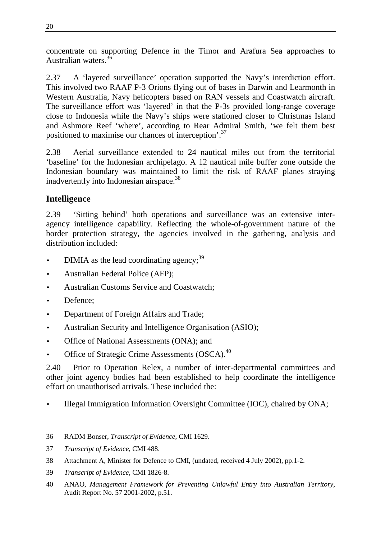concentrate on supporting Defence in the Timor and Arafura Sea approaches to Australian waters.<sup>36</sup>

2.37 A 'layered surveillance' operation supported the Navy's interdiction effort. This involved two RAAF P-3 Orions flying out of bases in Darwin and Learmonth in Western Australia, Navy helicopters based on RAN vessels and Coastwatch aircraft. The surveillance effort was 'layered' in that the P-3s provided long-range coverage close to Indonesia while the Navy's ships were stationed closer to Christmas Island and Ashmore Reef 'where', according to Rear Admiral Smith, 'we felt them best positioned to maximise our chances of interception'.<sup>37</sup>

2.38 Aerial surveillance extended to 24 nautical miles out from the territorial 'baseline' for the Indonesian archipelago. A 12 nautical mile buffer zone outside the Indonesian boundary was maintained to limit the risk of RAAF planes straying inadvertently into Indonesian airspace.<sup>38</sup>

#### **Intelligence**

2.39 'Sitting behind' both operations and surveillance was an extensive interagency intelligence capability. Reflecting the whole-of-government nature of the border protection strategy, the agencies involved in the gathering, analysis and distribution included:

- DIMIA as the lead coordinating agency;<sup>39</sup>
- Australian Federal Police (AFP);
- Australian Customs Service and Coastwatch;
- Defence:

- Department of Foreign Affairs and Trade;
- Australian Security and Intelligence Organisation (ASIO);
- Office of National Assessments (ONA); and
- Office of Strategic Crime Assessments (OSCA).<sup>40</sup>

2.40 Prior to Operation Relex, a number of inter-departmental committees and other joint agency bodies had been established to help coordinate the intelligence effort on unauthorised arrivals. These included the:

• Illegal Immigration Information Oversight Committee (IOC), chaired by ONA;

<sup>36</sup> RADM Bonser, *Transcript of Evidence*, CMI 1629.

<sup>37</sup> *Transcript of Evidence*, CMI 488.

<sup>38</sup> Attachment A, Minister for Defence to CMI, (undated, received 4 July 2002), pp.1-2.

<sup>39</sup> *Transcript of Evidence*, CMI 1826-8.

<sup>40</sup> ANAO, *Management Framework for Preventing Unlawful Entry into Australian Territory*, Audit Report No. 57 2001-2002, p.51.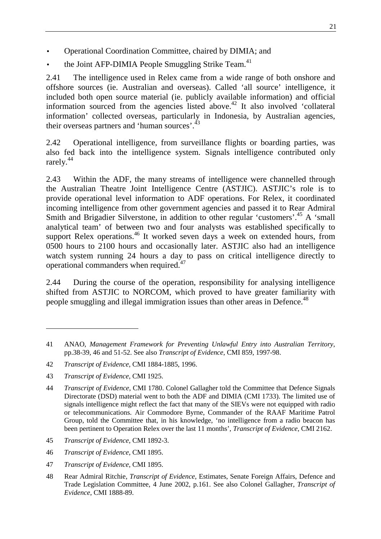- Operational Coordination Committee, chaired by DIMIA; and
- the Joint AFP-DIMIA People Smuggling Strike Team.<sup>41</sup>

2.41 The intelligence used in Relex came from a wide range of both onshore and offshore sources (ie. Australian and overseas). Called 'all source' intelligence, it included both open source material (ie. publicly available information) and official information sourced from the agencies listed above.<sup>42</sup> It also involved 'collateral information' collected overseas, particularly in Indonesia, by Australian agencies, their overseas partners and 'human sources'.<sup>43</sup>

2.42 Operational intelligence, from surveillance flights or boarding parties, was also fed back into the intelligence system. Signals intelligence contributed only rarely.<sup>44</sup>

2.43 Within the ADF, the many streams of intelligence were channelled through the Australian Theatre Joint Intelligence Centre (ASTJIC). ASTJIC's role is to provide operational level information to ADF operations. For Relex, it coordinated incoming intelligence from other government agencies and passed it to Rear Admiral Smith and Brigadier Silverstone, in addition to other regular 'customers'.<sup>45</sup> A 'small analytical team' of between two and four analysts was established specifically to support Relex operations.<sup>46</sup> It worked seven days a week on extended hours, from 0500 hours to 2100 hours and occasionally later. ASTJIC also had an intelligence watch system running 24 hours a day to pass on critical intelligence directly to operational commanders when required.<sup>47</sup>

2.44 During the course of the operation, responsibility for analysing intelligence shifted from ASTJIC to NORCOM, which proved to have greater familiarity with people smuggling and illegal immigration issues than other areas in Defence.<sup>48</sup>

- 45 *Transcript of Evidence*, CMI 1892-3.
- 46 *Transcript of Evidence*, CMI 1895.
- 47 *Transcript of Evidence*, CMI 1895.
- 48 Rear Admiral Ritchie, *Transcript of Evidence*, Estimates, Senate Foreign Affairs, Defence and Trade Legislation Committee, 4 June 2002, p.161. See also Colonel Gallagher, *Transcript of Evidence*, CMI 1888-89.

<sup>41</sup> ANAO, *Management Framework for Preventing Unlawful Entry into Australian Territory*, pp.38-39, 46 and 51-52. See also *Transcript of Evidence*, CMI 859, 1997-98.

<sup>42</sup> *Transcript of Evidence*, CMI 1884-1885, 1996.

<sup>43</sup> *Transcript of Evidence*, CMI 1925.

<sup>44</sup> *Transcript of Evidence*, CMI 1780. Colonel Gallagher told the Committee that Defence Signals Directorate (DSD) material went to both the ADF and DIMIA (CMI 1733). The limited use of signals intelligence might reflect the fact that many of the SIEVs were not equipped with radio or telecommunications. Air Commodore Byrne, Commander of the RAAF Maritime Patrol Group, told the Committee that, in his knowledge, 'no intelligence from a radio beacon has been pertinent to Operation Relex over the last 11 months', *Transcript of Evidence*, CMI 2162.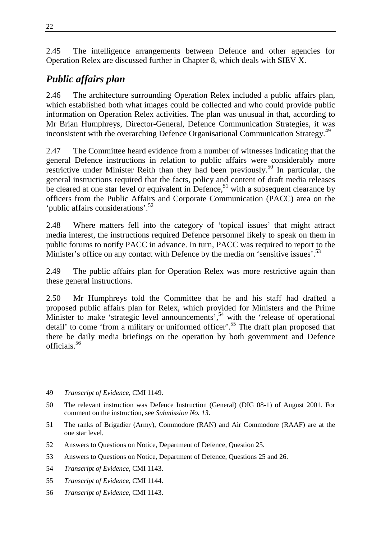2.45 The intelligence arrangements between Defence and other agencies for Operation Relex are discussed further in Chapter 8, which deals with SIEV X.

# *Public affairs plan*

2.46 The architecture surrounding Operation Relex included a public affairs plan, which established both what images could be collected and who could provide public information on Operation Relex activities. The plan was unusual in that, according to Mr Brian Humphreys, Director-General, Defence Communication Strategies, it was inconsistent with the overarching Defence Organisational Communication Strategy.<sup>49</sup>

2.47 The Committee heard evidence from a number of witnesses indicating that the general Defence instructions in relation to public affairs were considerably more restrictive under Minister Reith than they had been previously.<sup>50</sup> In particular, the general instructions required that the facts, policy and content of draft media releases be cleared at one star level or equivalent in Defence,<sup>51</sup> with a subsequent clearance by officers from the Public Affairs and Corporate Communication (PACC) area on the 'public affairs considerations'.<sup>52</sup>

2.48 Where matters fell into the category of 'topical issues' that might attract media interest, the instructions required Defence personnel likely to speak on them in public forums to notify PACC in advance. In turn, PACC was required to report to the Minister's office on any contact with Defence by the media on 'sensitive issues'.<sup>53</sup>

2.49 The public affairs plan for Operation Relex was more restrictive again than these general instructions.

2.50 Mr Humphreys told the Committee that he and his staff had drafted a proposed public affairs plan for Relex, which provided for Ministers and the Prime Minister to make 'strategic level announcements',<sup>54</sup> with the 'release of operational detail' to come 'from a military or uniformed officer'.<sup>55</sup> The draft plan proposed that there be daily media briefings on the operation by both government and Defence officials.56

- 55 *Transcript of Evidence*, CMI 1144.
- 56 *Transcript of Evidence*, CMI 1143.

<sup>49</sup> *Transcript of Evidence*, CMI 1149.

<sup>50</sup> The relevant instruction was Defence Instruction (General) (DIG 08-1) of August 2001. For comment on the instruction, see *Submission No. 13*.

<sup>51</sup> The ranks of Brigadier (Army), Commodore (RAN) and Air Commodore (RAAF) are at the one star level.

<sup>52</sup> Answers to Questions on Notice, Department of Defence, Question 25.

<sup>53</sup> Answers to Questions on Notice, Department of Defence, Questions 25 and 26.

<sup>54</sup> *Transcript of Evidence*, CMI 1143.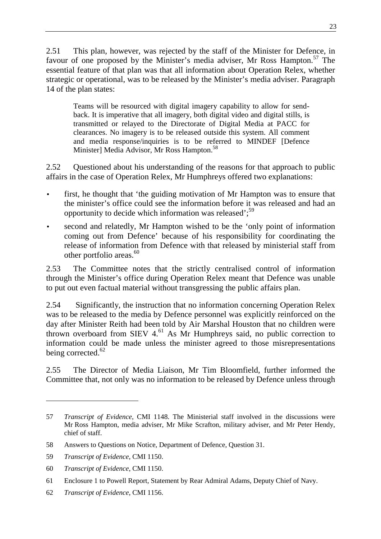2.51 This plan, however, was rejected by the staff of the Minister for Defence, in favour of one proposed by the Minister's media adviser, Mr Ross Hampton.<sup>57</sup> The essential feature of that plan was that all information about Operation Relex, whether strategic or operational, was to be released by the Minister's media adviser. Paragraph 14 of the plan states:

Teams will be resourced with digital imagery capability to allow for sendback. It is imperative that all imagery, both digital video and digital stills, is transmitted or relayed to the Directorate of Digital Media at PACC for clearances. No imagery is to be released outside this system. All comment and media response/inquiries is to be referred to MINDEF [Defence Minister] Media Advisor, Mr Ross Hampton.<sup>58</sup>

2.52 Questioned about his understanding of the reasons for that approach to public affairs in the case of Operation Relex, Mr Humphreys offered two explanations:

- first, he thought that 'the guiding motivation of Mr Hampton was to ensure that the minister's office could see the information before it was released and had an opportunity to decide which information was released':<sup>59</sup>
- second and relatedly, Mr Hampton wished to be the 'only point of information coming out from Defence' because of his responsibility for coordinating the release of information from Defence with that released by ministerial staff from other portfolio areas.<sup>60</sup>

2.53 The Committee notes that the strictly centralised control of information through the Minister's office during Operation Relex meant that Defence was unable to put out even factual material without transgressing the public affairs plan.

2.54 Significantly, the instruction that no information concerning Operation Relex was to be released to the media by Defence personnel was explicitly reinforced on the day after Minister Reith had been told by Air Marshal Houston that no children were thrown overboard from SIEV  $4.61$  As Mr Humphreys said, no public correction to information could be made unless the minister agreed to those misrepresentations being corrected.<sup>62</sup>

2.55 The Director of Media Liaison, Mr Tim Bloomfield, further informed the Committee that, not only was no information to be released by Defence unless through

<sup>57</sup> *Transcript of Evidence*, CMI 1148. The Ministerial staff involved in the discussions were Mr Ross Hampton, media adviser, Mr Mike Scrafton, military adviser, and Mr Peter Hendy, chief of staff.

<sup>58</sup> Answers to Questions on Notice, Department of Defence, Question 31.

<sup>59</sup> *Transcript of Evidence*, CMI 1150.

<sup>60</sup> *Transcript of Evidence*, CMI 1150.

<sup>61</sup> Enclosure 1 to Powell Report, Statement by Rear Admiral Adams, Deputy Chief of Navy.

<sup>62</sup> *Transcript of Evidence*, CMI 1156.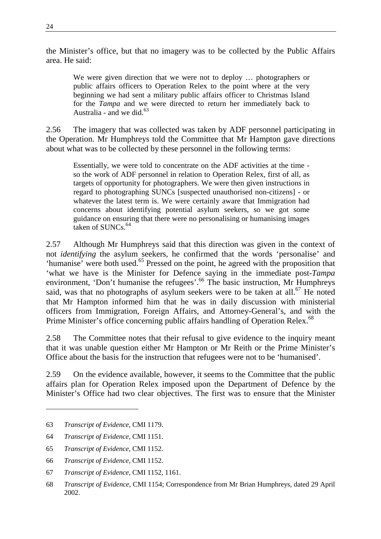the Minister's office, but that no imagery was to be collected by the Public Affairs area. He said:

We were given direction that we were not to deploy ... photographers or public affairs officers to Operation Relex to the point where at the very beginning we had sent a military public affairs officer to Christmas Island for the *Tampa* and we were directed to return her immediately back to Australia - and we did. $63$ 

2.56 The imagery that was collected was taken by ADF personnel participating in the Operation. Mr Humphreys told the Committee that Mr Hampton gave directions about what was to be collected by these personnel in the following terms:

Essentially, we were told to concentrate on the ADF activities at the time so the work of ADF personnel in relation to Operation Relex, first of all, as targets of opportunity for photographers. We were then given instructions in regard to photographing SUNCs [suspected unauthorised non-citizens] - or whatever the latest term is. We were certainly aware that Immigration had concerns about identifying potential asylum seekers, so we got some guidance on ensuring that there were no personalising or humanising images taken of  $\text{SUNCs}$ .  $^{64}$ 

2.57 Although Mr Humphreys said that this direction was given in the context of not *identifying* the asylum seekers, he confirmed that the words 'personalise' and 'humanise' were both used.65 Pressed on the point, he agreed with the proposition that 'what we have is the Minister for Defence saying in the immediate post-*Tampa* environment, 'Don't humanise the refugees'.<sup>66</sup> The basic instruction, Mr Humphreys said, was that no photographs of asylum seekers were to be taken at all.<sup>67</sup> He noted that Mr Hampton informed him that he was in daily discussion with ministerial officers from Immigration, Foreign Affairs, and Attorney-General's, and with the Prime Minister's office concerning public affairs handling of Operation Relex.<sup>68</sup>

2.58 The Committee notes that their refusal to give evidence to the inquiry meant that it was unable question either Mr Hampton or Mr Reith or the Prime Minister's Office about the basis for the instruction that refugees were not to be 'humanised'.

2.59 On the evidence available, however, it seems to the Committee that the public affairs plan for Operation Relex imposed upon the Department of Defence by the Minister's Office had two clear objectives. The first was to ensure that the Minister

<sup>63</sup> *Transcript of Evidence*, CMI 1179.

<sup>64</sup> *Transcript of Evidence*, CMI 1151.

<sup>65</sup> *Transcript of Evidence*, CMI 1152.

<sup>66</sup> *Transcript of Evidence*, CMI 1152.

<sup>67</sup> *Transcript of Evidence*, CMI 1152, 1161.

<sup>68</sup> *Transcript of Evidence*, CMI 1154; Correspondence from Mr Brian Humphreys, dated 29 April 2002.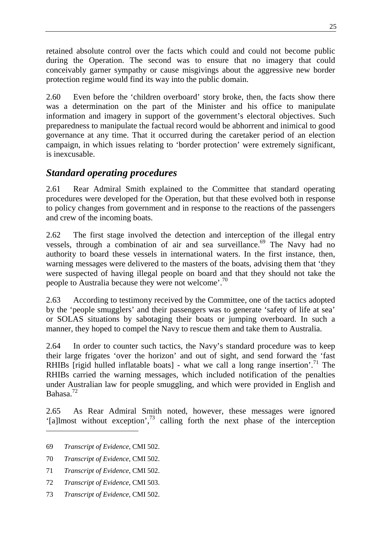retained absolute control over the facts which could and could not become public during the Operation. The second was to ensure that no imagery that could conceivably garner sympathy or cause misgivings about the aggressive new border protection regime would find its way into the public domain.

2.60 Even before the 'children overboard' story broke, then, the facts show there was a determination on the part of the Minister and his office to manipulate information and imagery in support of the government's electoral objectives. Such preparedness to manipulate the factual record would be abhorrent and inimical to good governance at any time. That it occurred during the caretaker period of an election campaign, in which issues relating to 'border protection' were extremely significant, is inexcusable.

## *Standard operating procedures*

2.61 Rear Admiral Smith explained to the Committee that standard operating procedures were developed for the Operation, but that these evolved both in response to policy changes from government and in response to the reactions of the passengers and crew of the incoming boats.

2.62 The first stage involved the detection and interception of the illegal entry vessels, through a combination of air and sea surveillance.<sup>69</sup> The Navy had no authority to board these vessels in international waters. In the first instance, then, warning messages were delivered to the masters of the boats, advising them that 'they were suspected of having illegal people on board and that they should not take the people to Australia because they were not welcome'.<sup>70</sup>

2.63 According to testimony received by the Committee, one of the tactics adopted by the 'people smugglers' and their passengers was to generate 'safety of life at sea' or SOLAS situations by sabotaging their boats or jumping overboard. In such a manner, they hoped to compel the Navy to rescue them and take them to Australia.

2.64 In order to counter such tactics, the Navy's standard procedure was to keep their large frigates 'over the horizon' and out of sight, and send forward the 'fast RHIBs [rigid hulled inflatable boats] - what we call a long range insertion'.<sup>71</sup> The RHIBs carried the warning messages, which included notification of the penalties under Australian law for people smuggling, and which were provided in English and Bahasa.<sup>72</sup>

2.65 As Rear Admiral Smith noted, however, these messages were ignored '[a]lmost without exception', $73$  calling forth the next phase of the interception

<sup>69</sup> *Transcript of Evidence*, CMI 502.

<sup>70</sup> *Transcript of Evidence*, CMI 502.

<sup>71</sup> *Transcript of Evidence*, CMI 502.

<sup>72</sup> *Transcript of Evidence*, CMI 503.

<sup>73</sup> *Transcript of Evidence*, CMI 502.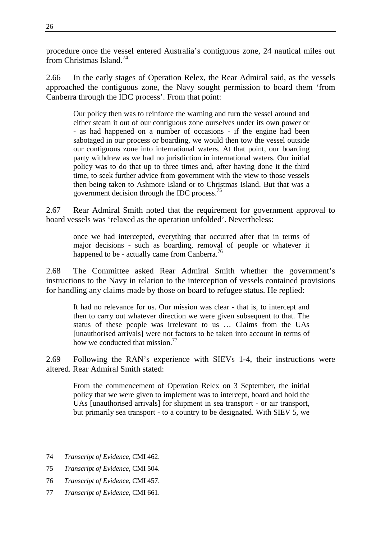procedure once the vessel entered Australia's contiguous zone, 24 nautical miles out from Christmas Island.<sup>74</sup>

2.66 In the early stages of Operation Relex, the Rear Admiral said, as the vessels approached the contiguous zone, the Navy sought permission to board them 'from Canberra through the IDC process'. From that point:

Our policy then was to reinforce the warning and turn the vessel around and either steam it out of our contiguous zone ourselves under its own power or - as had happened on a number of occasions - if the engine had been sabotaged in our process or boarding, we would then tow the vessel outside our contiguous zone into international waters. At that point, our boarding party withdrew as we had no jurisdiction in international waters. Our initial policy was to do that up to three times and, after having done it the third time, to seek further advice from government with the view to those vessels then being taken to Ashmore Island or to Christmas Island. But that was a government decision through the IDC process.75

2.67 Rear Admiral Smith noted that the requirement for government approval to board vessels was 'relaxed as the operation unfolded'. Nevertheless:

once we had intercepted, everything that occurred after that in terms of major decisions - such as boarding, removal of people or whatever it happened to be - actually came from Canberra.<sup>76</sup>

2.68 The Committee asked Rear Admiral Smith whether the government's instructions to the Navy in relation to the interception of vessels contained provisions for handling any claims made by those on board to refugee status. He replied:

It had no relevance for us. Our mission was clear - that is, to intercept and then to carry out whatever direction we were given subsequent to that. The status of these people was irrelevant to us … Claims from the UAs [unauthorised arrivals] were not factors to be taken into account in terms of how we conducted that mission.<sup>77</sup>

2.69 Following the RAN's experience with SIEVs 1-4, their instructions were altered. Rear Admiral Smith stated:

From the commencement of Operation Relex on 3 September, the initial policy that we were given to implement was to intercept, board and hold the UAs [unauthorised arrivals] for shipment in sea transport - or air transport, but primarily sea transport - to a country to be designated. With SIEV 5, we

<sup>74</sup> *Transcript of Evidence*, CMI 462.

<sup>75</sup> *Transcript of Evidence*, CMI 504.

<sup>76</sup> *Transcript of Evidence*, CMI 457.

<sup>77</sup> *Transcript of Evidence*, CMI 661.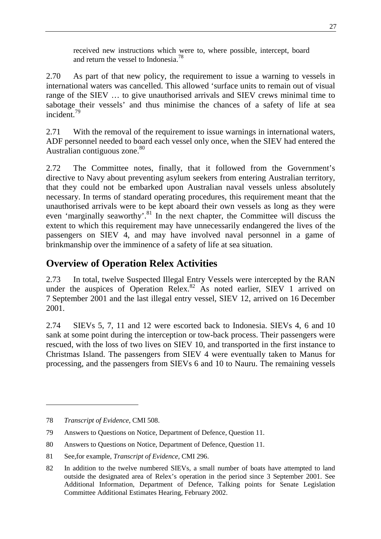received new instructions which were to, where possible, intercept, board and return the vessel to Indonesia.<sup>78</sup>

2.70 As part of that new policy, the requirement to issue a warning to vessels in international waters was cancelled. This allowed 'surface units to remain out of visual range of the SIEV … to give unauthorised arrivals and SIEV crews minimal time to sabotage their vessels' and thus minimise the chances of a safety of life at sea incident.<sup>79</sup>

2.71 With the removal of the requirement to issue warnings in international waters, ADF personnel needed to board each vessel only once, when the SIEV had entered the Australian contiguous zone. $80$ 

2.72 The Committee notes, finally, that it followed from the Government's directive to Navy about preventing asylum seekers from entering Australian territory, that they could not be embarked upon Australian naval vessels unless absolutely necessary. In terms of standard operating procedures, this requirement meant that the unauthorised arrivals were to be kept aboard their own vessels as long as they were even 'marginally seaworthy'.<sup>81</sup> In the next chapter, the Committee will discuss the extent to which this requirement may have unnecessarily endangered the lives of the passengers on SIEV 4, and may have involved naval personnel in a game of brinkmanship over the imminence of a safety of life at sea situation.

# **Overview of Operation Relex Activities**

2.73 In total, twelve Suspected Illegal Entry Vessels were intercepted by the RAN under the auspices of Operation Relex.<sup>82</sup> As noted earlier, SIEV 1 arrived on 7 September 2001 and the last illegal entry vessel, SIEV 12, arrived on 16 December 2001.

2.74 SIEVs 5, 7, 11 and 12 were escorted back to Indonesia. SIEVs 4, 6 and 10 sank at some point during the interception or tow-back process. Their passengers were rescued, with the loss of two lives on SIEV 10, and transported in the first instance to Christmas Island. The passengers from SIEV 4 were eventually taken to Manus for processing, and the passengers from SIEVs 6 and 10 to Nauru. The remaining vessels

<sup>78</sup> *Transcript of Evidence*, CMI 508.

<sup>79</sup> Answers to Questions on Notice, Department of Defence, Question 11.

<sup>80</sup> Answers to Questions on Notice, Department of Defence, Question 11.

<sup>81</sup> See,for example, *Transcript of Evidence*, CMI 296.

<sup>82</sup> In addition to the twelve numbered SIEVs, a small number of boats have attempted to land outside the designated area of Relex's operation in the period since 3 September 2001. See Additional Information, Department of Defence, Talking points for Senate Legislation Committee Additional Estimates Hearing, February 2002.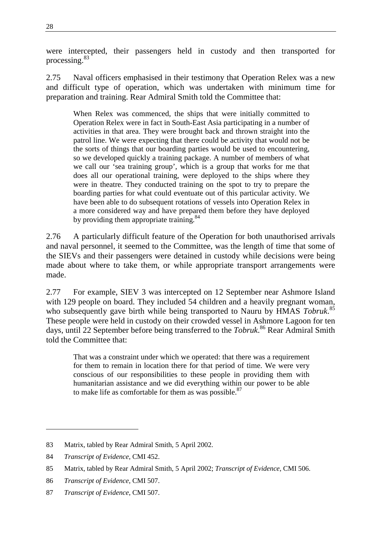were intercepted, their passengers held in custody and then transported for processing.<sup>83</sup>

2.75 Naval officers emphasised in their testimony that Operation Relex was a new and difficult type of operation, which was undertaken with minimum time for preparation and training. Rear Admiral Smith told the Committee that:

When Relex was commenced, the ships that were initially committed to Operation Relex were in fact in South-East Asia participating in a number of activities in that area. They were brought back and thrown straight into the patrol line. We were expecting that there could be activity that would not be the sorts of things that our boarding parties would be used to encountering, so we developed quickly a training package. A number of members of what we call our 'sea training group', which is a group that works for me that does all our operational training, were deployed to the ships where they were in theatre. They conducted training on the spot to try to prepare the boarding parties for what could eventuate out of this particular activity. We have been able to do subsequent rotations of vessels into Operation Relex in a more considered way and have prepared them before they have deployed by providing them appropriate training.<sup>84</sup>

2.76 A particularly difficult feature of the Operation for both unauthorised arrivals and naval personnel, it seemed to the Committee, was the length of time that some of the SIEVs and their passengers were detained in custody while decisions were being made about where to take them, or while appropriate transport arrangements were made.

2.77 For example, SIEV 3 was intercepted on 12 September near Ashmore Island with 129 people on board. They included 54 children and a heavily pregnant woman, who subsequently gave birth while being transported to Nauru by HMAS *Tobruk*.<sup>85</sup> These people were held in custody on their crowded vessel in Ashmore Lagoon for ten days, until 22 September before being transferred to the *Tobruk*. 86 Rear Admiral Smith told the Committee that:

That was a constraint under which we operated: that there was a requirement for them to remain in location there for that period of time. We were very conscious of our responsibilities to these people in providing them with humanitarian assistance and we did everything within our power to be able to make life as comfortable for them as was possible. $87$ 

<sup>83</sup> Matrix, tabled by Rear Admiral Smith, 5 April 2002.

<sup>84</sup> *Transcript of Evidence*, CMI 452.

<sup>85</sup> Matrix, tabled by Rear Admiral Smith, 5 April 2002; *Transcript of Evidence*, CMI 506.

<sup>86</sup> *Transcript of Evidence*, CMI 507.

<sup>87</sup> *Transcript of Evidence*, CMI 507.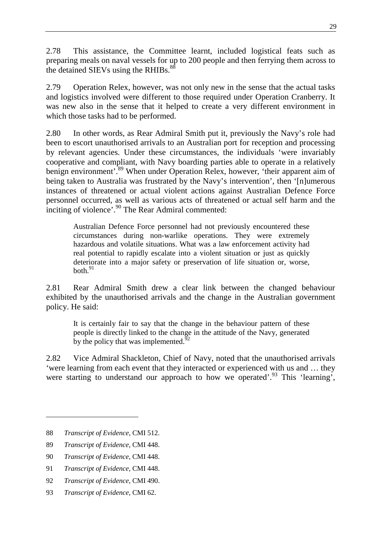2.78 This assistance, the Committee learnt, included logistical feats such as preparing meals on naval vessels for up to 200 people and then ferrying them across to the detained SIEVs using the RHIBs.<sup>88</sup>

2.79 Operation Relex, however, was not only new in the sense that the actual tasks and logistics involved were different to those required under Operation Cranberry. It was new also in the sense that it helped to create a very different environment in which those tasks had to be performed.

2.80 In other words, as Rear Admiral Smith put it, previously the Navy's role had been to escort unauthorised arrivals to an Australian port for reception and processing by relevant agencies. Under these circumstances, the individuals 'were invariably cooperative and compliant, with Navy boarding parties able to operate in a relatively benign environment'.<sup>89</sup> When under Operation Relex, however, 'their apparent aim of being taken to Australia was frustrated by the Navy's intervention', then '[n]umerous instances of threatened or actual violent actions against Australian Defence Force personnel occurred, as well as various acts of threatened or actual self harm and the inciting of violence<sup>'.90</sup> The Rear Admiral commented:

Australian Defence Force personnel had not previously encountered these circumstances during non-warlike operations. They were extremely hazardous and volatile situations. What was a law enforcement activity had real potential to rapidly escalate into a violent situation or just as quickly deteriorate into a major safety or preservation of life situation or, worse,  $both<sup>91</sup>$ 

2.81 Rear Admiral Smith drew a clear link between the changed behaviour exhibited by the unauthorised arrivals and the change in the Australian government policy. He said:

It is certainly fair to say that the change in the behaviour pattern of these people is directly linked to the change in the attitude of the Navy, generated by the policy that was implemented. $92$ 

2.82 Vice Admiral Shackleton, Chief of Navy, noted that the unauthorised arrivals 'were learning from each event that they interacted or experienced with us and … they were starting to understand our approach to how we operated'.<sup>93</sup> This 'learning',

<sup>88</sup> *Transcript of Evidence*, CMI 512.

<sup>89</sup> *Transcript of Evidence*, CMI 448.

<sup>90</sup> *Transcript of Evidence*, CMI 448.

<sup>91</sup> *Transcript of Evidence*, CMI 448.

<sup>92</sup> *Transcript of Evidence*, CMI 490.

<sup>93</sup> *Transcript of Evidence*, CMI 62.